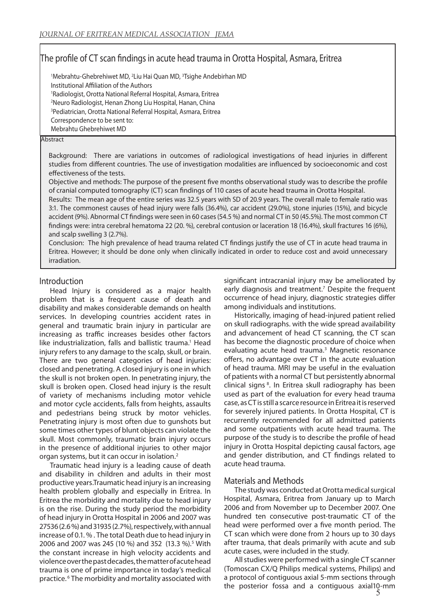# The profile of CT scan findings in acute head trauma in Orotta Hospital, Asmara, Eritrea

<sup>1</sup>Mebrahtu-Ghebrehiwet MD, <sup>2</sup>Liu Hai Quan MD, <sup>3</sup>Tsighe Andebirhan MD Institutional Affiliation of the Authors 1 Radiologist, Orotta National Referral Hospital, Asmara, Eritrea 2 Neuro Radiologist, Henan Zhong Liu Hospital, Hanan, China 3 Pediatrician, Orotta National Referral Hospital, Asmara, Eritrea Correspondence to be sent to: Mebrahtu Ghebrehiwet MD

#### **Abstract**

Background: There are variations in outcomes of radiological investigations of head injuries in different studies from different countries. The use of investigation modalities are influenced by socioeconomic and cost effectiveness of the tests.

Objective and methods: The purpose of the present five months observational study was to describe the profile of cranial computed tomography (CT) scan findings of 110 cases of acute head trauma in Orotta Hospital.

Results: The mean age of the entire series was 32.5 years with SD of 20.9 years. The overall male to female ratio was 3:1. The commonest causes of head injury were falls (36.4%), car accident (29.0%), stone injuries (15%), and bicycle accident (9%). Abnormal CT findings were seen in 60 cases (54.5 %) and normal CT in 50 (45.5%). The most common CT findings were: intra cerebral hematoma 22 (20. %), cerebral contusion or laceration 18 (16.4%), skull fractures 16 (6%), and scalp swelling 3 (2.7%).

Conclusion: The high prevalence of head trauma related CT findings justify the use of CT in acute head trauma in Eritrea. However; it should be done only when clinically indicated in order to reduce cost and avoid unnecessary irradiation.

### Introduction

Head Injury is considered as a major health problem that is a frequent cause of death and disability and makes considerable demands on health services. In developing countries accident rates in general and traumatic brain injury in particular are increasing as traffic increases besides other factors like industrialization, falls and ballistic trauma.<sup>1</sup> Head injury refers to any damage to the scalp, skull, or brain. There are two general categories of head injuries: closed and penetrating. A closed injury is one in which the skull is not broken open. In penetrating injury, the skull is broken open. Closed head injury is the result of variety of mechanisms including motor vehicle and motor cycle accidents, falls from heights, assaults and pedestrians being struck by motor vehicles. Penetrating injury is most often due to gunshots but some times other types of blunt objects can violate the skull. Most commonly, traumatic brain injury occurs in the presence of additional injuries to other major organ systems, but it can occur in isolation.2

Traumatic head injury is a leading cause of death and disability in children and adults in their most productive years.Traumatic head injury is an increasing health problem globally and especially in Eritrea. In Eritrea the morbidity and mortality due to head injury is on the rise. During the study period the morbidity of head injury in Orotta Hospital in 2006 and 2007 was 27536 (2.6 %) and 31935 (2.7%), respectively, with annual increase of 0.1. % . The total Death due to head injury in 2006 and 2007 was 245 (10 %) and 352 (13.3 %).<sup>5</sup> With the constant increase in high velocity accidents and violence over the past decades, the matter of acute head trauma is one of prime importance in today's medical practice. 6 The morbidity and mortality associated with

significant intracranial injury may be ameliorated by early diagnosis and treatment.<sup>7</sup> Despite the frequent occurrence of head injury, diagnostic strategies differ among individuals and institutions.

Historically, imaging of head-injured patient relied on skull radiographs. with the wide spread availability and advancement of head CT scanning, the CT scan has become the diagnostic procedure of choice when evaluating acute head trauma.<sup>3</sup> Magnetic resonance offers, no advantage over CT in the acute evaluation of head trauma. MRI may be useful in the evaluation of patients with a normal CT but persistently abnormal clinical signs 8. In Eritrea skull radiography has been used as part of the evaluation for every head trauma case, as CT is still a scarce resource in Eritrea it is reserved for severely injured patients. In Orotta Hospital, CT is recurrently recommended for all admitted patients and some outpatients with acute head trauma. The purpose of the study is to describe the profile of head injury in Orotta Hospital depicting causal factors, age and gender distribution, and CT findings related to acute head trauma.

### Materials and Methods

The study was conducted at Orotta medical surgical Hospital, Asmara, Eritrea from January up to March 2006 and from November up to December 2007. One hundred ten consecutive post-traumatic CT of the head were performed over a five month period. The CT scan which were done from 2 hours up to 30 days after trauma, that deals primarily with acute and sub acute cases, were included in the study.

All studies were performed with a single CT scanner (Tomoscan CX/Q Philips medical systems, Philips) and a protocol of contiguous axial 5-mm sections through the posterior fossa and a contiguous axial10-mm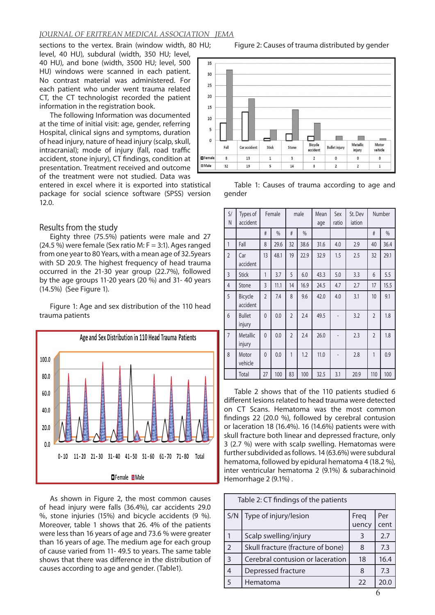### *JOURNAL OF ERITREAN MEDICAL ASSOCIATION JEMA*

sections to the vertex. Brain (window width, 80 HU; level, 40 HU), subdural (width, 350 HU; level, 40 HU), and bone (width, 3500 HU; level, 500 HU) windows were scanned in each patient. No contrast material was administered. For each patient who under went trauma related CT, the CT technologist recorded the patient information in the registration book.

The following Information was documented at the time of initial visit: age, gender, referring Hospital, clinical signs and symptoms, duration of head injury, nature of head injury (scalp, skull, intracranial); mode of injury (fall, road traffic accident, stone injury), CT findings, condition at presentation. Treatment received and outcome of the treatment were not studied. Data was

entered in excel where it is exported into statistical package for social science software (SPSS) version 12.0.

#### Results from the study

Eighty three (75.5%) patients were male and 27  $(24.5\%)$  were female (Sex ratio M: F = 3:1). Ages ranged from one year to 80 Years, with a mean age of 32.5years with SD 20.9. The highest frequency of head trauma occurred in the 21-30 year group (22.7%), followed by the age groups 11-20 years (20 %) and 31- 40 years (14.5%) (See Figure 1).

Figure 1: Age and sex distribution of the 110 head trauma patients



As shown in Figure 2, the most common causes of head injury were falls (36.4%), car accidents 29.0 %, stone injuries (15%) and bicycle accidents (9 %). Moreover, table 1 shows that 26. 4% of the patients were less than 16 years of age and 73.6 % were greater than 16 years of age. The medium age for each group of cause varied from 11- 49.5 to years. The same table shows that there was difference in the distribution of causes according to age and gender. (Table1).





Table 1: Causes of trauma according to age and gender

| S/<br>N        | Types of<br>accident    |                | Female |                | male | Mean<br>age | Sex<br>ratio | St. Dev<br>iation | Number         |      |
|----------------|-------------------------|----------------|--------|----------------|------|-------------|--------------|-------------------|----------------|------|
|                |                         | #              | $\%$   | #              | $\%$ |             |              |                   | #              | $\%$ |
| 1              | Fall                    | 8              | 29.6   | 32             | 38.6 | 31.6        | 4.0          | 2.9               | 40             | 36.4 |
| $\overline{2}$ | Car<br>accident         | 13             | 48.1   | 19             | 22.9 | 32.9        | 1.5          | 2.5               | 32             | 29.1 |
| $\overline{3}$ | <b>Stick</b>            | 1              | 3.7    | 5              | 6.0  | 43.3        | 5.0          | 3.3               | 6              | 5.5  |
| 4              | Stone                   | 3              | 11.1   | 14             | 16.9 | 24.5        | 4.7          | 2.7               | 17             | 15.5 |
| 5              | Bicycle<br>accident     | $\overline{2}$ | 7.4    | 8              | 9.6  | 42.0        | 4.0          | 3.1               | 10             | 9.1  |
| 6              | <b>Bullet</b><br>injury | $\overline{0}$ | 0.0    | $\overline{2}$ | 2.4  | 49.5        |              | 3.2               | $\overline{2}$ | 1.8  |
| $\overline{7}$ | Metallic<br>injury      | $\overline{0}$ | 0.0    | $\mathfrak{D}$ | 2.4  | 26.0        |              | 2.3               | $\overline{2}$ | 1.8  |
| 8              | Motor<br>vehicle        | $\overline{0}$ | 0.0    | 1              | 1.2  | 11.0        |              | 2.8               | 1              | 0.9  |
|                | Total                   | 27             | 100    | 83             | 100  | 32.5        | 3.1          | 20.9              | 110            | 100  |

Table 2 shows that of the 110 patients studied 6 different lesions related to head trauma were detected on CT Scans. Hematoma was the most common findings 22 (20.0 %), followed by cerebral contusion or laceration 18 (16.4%). 16 (14.6%) patients were with skull fracture both linear and depressed fracture, only 3 (2.7 %) were with scalp swelling. Hematomas were further subdivided as follows. 14 (63.6%) were subdural hematoma, followed by epidural hematoma 4 (18.2 %), inter ventricular hematoma 2 (9.1%) & subarachinoid Hemorrhage 2 (9.1%) .

| Table 2: CT findings of the patients |                                   |               |             |  |  |
|--------------------------------------|-----------------------------------|---------------|-------------|--|--|
| S/N                                  | Type of injury/lesion             | Freq<br>uency | Per<br>cent |  |  |
|                                      | Scalp swelling/injury             | 3             | 2.7         |  |  |
| $\overline{2}$                       | Skull fracture (fracture of bone) | 8             | 7.3         |  |  |
| 3                                    | Cerebral contusion or laceration  | 18            | 16.4        |  |  |
| $\overline{4}$                       | Depressed fracture                | 8             | 7.3         |  |  |
| $\overline{5}$                       | Hematoma                          | 22            | 20.0        |  |  |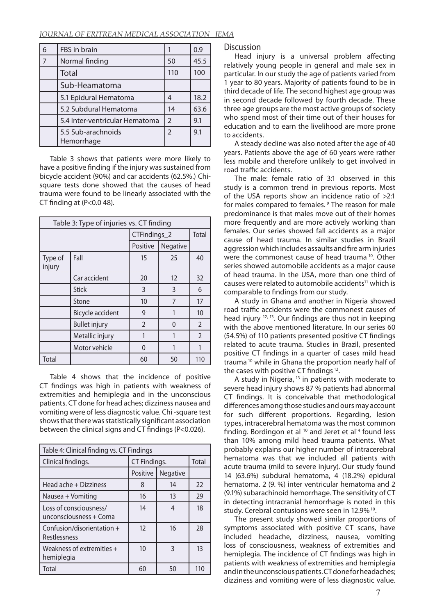#### *JOURNAL OF ERITREAN MEDICAL ASSOCIATION JEMA*

| 6              | FBS in brain                     |                          | 0.9  |
|----------------|----------------------------------|--------------------------|------|
| $\overline{7}$ | Normal finding                   | 50                       | 45.5 |
|                | Total                            | 110                      | 100  |
|                | Sub-Heamatoma                    |                          |      |
|                | 5.1 Epidural Hematoma            | 4                        | 18.2 |
|                | 5.2 Subdural Hematoma            | 14                       | 63.6 |
|                | 5.4 Inter-ventricular Hematoma   | $\mathfrak{D}$           | 9.1  |
|                | 5.5 Sub-arachnoids<br>Hemorrhage | $\overline{\phantom{0}}$ | 9.1  |

Table 3 shows that patients were more likely to have a positive finding if the injury was sustained from bicycle accident (90%) and car accidents (62.5%.) Chisquare tests done showed that the causes of head trauma were found to be linearly associated with the CT finding at  $(P<0.0 48)$ .

| Table 3: Type of injuries vs. CT finding |                         |                |          |                |  |
|------------------------------------------|-------------------------|----------------|----------|----------------|--|
|                                          |                         | CTFindings_2   | Total    |                |  |
|                                          |                         | Positive       | Negative |                |  |
| Type of<br>injury                        | Fall                    | 15             | 25       | 40             |  |
|                                          | Car accident            | 20             | 12       | 32             |  |
|                                          | <b>Stick</b>            | 3              | 3        | 6              |  |
|                                          | Stone                   | 10             | 7        | 17             |  |
|                                          | <b>Bicycle accident</b> | 9              |          | 10             |  |
|                                          | <b>Bullet injury</b>    | $\overline{2}$ | 0        | $\overline{2}$ |  |
|                                          | Metallic injury         | 1              |          | $\overline{2}$ |  |
|                                          | Motor vehicle           | $\Omega$       |          |                |  |
| Total                                    |                         | 60             | 50       | 110            |  |

Table 4 shows that the incidence of positive CT findings was high in patients with weakness of extremities and hemiplegia and in the unconscious patients. CT done for head aches; dizziness nausea and vomiting were of less diagnostic value. Chi -square test shows that there was statistically significant association between the clinical signs and CT findings (P<0.026).

| Table 4: Clinical finding vs. CT Findings        |              |              |     |  |  |
|--------------------------------------------------|--------------|--------------|-----|--|--|
| Clinical findings.                               | CT Findings. | <b>Total</b> |     |  |  |
|                                                  | Positive     | Negative     |     |  |  |
| Head ache + Dizziness                            | 8            | 14           | 22  |  |  |
| Nausea + Vomiting                                | 16           | 13           | 29  |  |  |
| Loss of consciousness/<br>unconsciousness + Coma | 14           | 4            | 18  |  |  |
| Confusion/disorientation +<br>Restlessness       | 12           | 16           | 28  |  |  |
| Weakness of extremities +<br>hemiplegia          | 10           | 3            | 13  |  |  |
| Total                                            | 60           | 50           | 110 |  |  |

Discussion

Head injury is a universal problem affecting relatively young people in general and male sex in particular. In our study the age of patients varied from 1 year to 80 years. Majority of patients found to be in third decade of life. The second highest age group was in second decade followed by fourth decade. These three age groups are the most active groups of society who spend most of their time out of their houses for education and to earn the livelihood are more prone to accidents.

A steady decline was also noted after the age of 40 years. Patients above the age of 60 years were rather less mobile and therefore unlikely to get involved in road traffic accidents.

The male: female ratio of 3:1 observed in this study is a common trend in previous reports. Most of the USA reports show an incidence ratio of >2:1 for males compared to females. 9 The reason for male predominance is that males move out of their homes more frequently and are more actively working than females. Our series showed fall accidents as a major cause of head trauma. In similar studies in Brazil aggression which includes assaults and fire arm injuries were the commonest cause of head trauma <sup>10</sup>. Other series showed automobile accidents as a major cause of head trauma. In the USA, more than one third of causes were related to automobile accidents<sup>11</sup> which is comparable to findings from our study.

A study in Ghana and another in Nigeria showed road traffic accidents were the commonest causes of head injury 12, 13. Our findings are thus not in keeping with the above mentioned literature. In our series 60 (54.5%) of 110 patients presented positive CT findings related to acute trauma. Studies in Brazil, presented positive CT findings in a quarter of cases mild head trauma 10 while in Ghana the proportion nearly half of the cases with positive CT findings 12.

A study in Nigeria, <sup>13</sup> in patients with moderate to severe head injury shows 87 % patients had abnormal CT findings. It is conceivable that methodological differences among those studies and ours may account for such different proportions. Regarding, lesion types, intracerebral hematoma was the most common finding. Bordingon et al  $10$  and Jeret et al<sup>14</sup> found less than 10% among mild head trauma patients. What probably explains our higher number of intracerebral hematoma was that we included all patients with acute trauma (mild to severe injury). Our study found 14 (63.6%) subdural hematoma, 4 (18.2%) epidural hematoma. 2 (9. %) inter ventricular hematoma and 2 (9.1%) subarachinoid hemorrhage. The sensitivity of CT in detecting intracranial hemorrhage is noted in this study. Cerebral contusions were seen in 12.9% 10.

The present study showed similar proportions of symptoms associated with positive CT scans, have included headache, dizziness, nausea, vomiting loss of consciousness, weakness of extremities and hemiplegia. The incidence of CT findings was high in patients with weakness of extremities and hemiplegia and in the unconscious patients. CT done for headaches; dizziness and vomiting were of less diagnostic value.